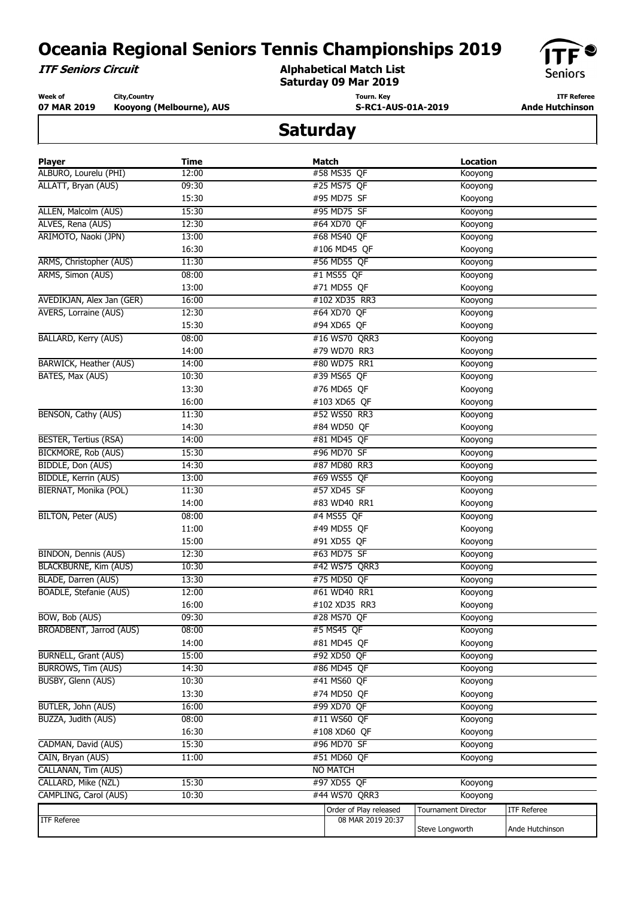**ITF Seniors Circuit**

**Alphabetical Match List Saturday 09 Mar 2019**



**Week of 07 MAR 2019 City,Country Kooyong (Melbourne), AUS** **Tourn. Key S-RC1-AUS-01A-2019**

**ITF Referee Ande Hutchinson** 

| <b>Player</b>                  | Time  | <b>Match</b>           | <b>Location</b>            |                    |
|--------------------------------|-------|------------------------|----------------------------|--------------------|
| ALBURO, Lourelu (PHI)          | 12:00 | #58 MS35 QF            | Kooyong                    |                    |
| ALLATT, Bryan (AUS)            | 09:30 | #25 MS75 QF            | Kooyong                    |                    |
|                                | 15:30 | #95 MD75 SF            | Kooyong                    |                    |
| ALLEN, Malcolm (AUS)           | 15:30 | #95 MD75 SF            | Kooyong                    |                    |
| ALVES, Rena (AUS)              | 12:30 | #64 XD70 QF            | Kooyong                    |                    |
| ARIMOTO, Naoki (JPN)           | 13:00 | #68 MS40 QF            | Kooyong                    |                    |
|                                | 16:30 | #106 MD45 QF           | Kooyong                    |                    |
| ARMS, Christopher (AUS)        | 11:30 | #56 MD55 QF            | Kooyong                    |                    |
| ARMS, Simon (AUS)              | 08:00 | #1 MS55 QF             | Kooyong                    |                    |
|                                | 13:00 | #71 MD55 QF            | Kooyong                    |                    |
| AVEDIKJAN, Alex Jan (GER)      | 16:00 | #102 XD35 RR3          | Kooyong                    |                    |
| <b>AVERS, Lorraine (AUS)</b>   | 12:30 | #64 XD70 QF            | Kooyong                    |                    |
|                                | 15:30 | #94 XD65 QF            | Kooyong                    |                    |
| <b>BALLARD, Kerry (AUS)</b>    | 08:00 | #16 WS70 QRR3          | Kooyong                    |                    |
|                                | 14:00 | #79 WD70 RR3           | Kooyong                    |                    |
| <b>BARWICK, Heather (AUS)</b>  | 14:00 | #80 WD75 RR1           | Kooyong                    |                    |
| BATES, Max (AUS)               | 10:30 | #39 MS65 QF            | Kooyong                    |                    |
|                                | 13:30 | #76 MD65 QF            | Kooyong                    |                    |
|                                | 16:00 | #103 XD65 QF           | Kooyong                    |                    |
| BENSON, Cathy (AUS)            | 11:30 | #52 WS50 RR3           | Kooyong                    |                    |
|                                | 14:30 | #84 WD50 QF            | Kooyong                    |                    |
| <b>BESTER, Tertius (RSA)</b>   | 14:00 | #81 MD45 QF            | Kooyong                    |                    |
| <b>BICKMORE, Rob (AUS)</b>     | 15:30 | #96 MD70 SF            | Kooyong                    |                    |
| BIDDLE, Don (AUS)              | 14:30 | #87 MD80 RR3           | Kooyong                    |                    |
| <b>BIDDLE, Kerrin (AUS)</b>    | 13:00 | #69 WS55 QF            | Kooyong                    |                    |
| BIERNAT, Monika (POL)          | 11:30 | #57 XD45 SF            | Kooyong                    |                    |
|                                | 14:00 | #83 WD40 RR1           | Kooyong                    |                    |
| BILTON, Peter (AUS)            | 08:00 | #4 MS55 QF             | Kooyong                    |                    |
|                                | 11:00 | #49 MD55 QF            | Kooyong                    |                    |
|                                | 15:00 | #91 XD55 QF            | Kooyong                    |                    |
| <b>BINDON, Dennis (AUS)</b>    | 12:30 | #63 MD75 SF            | Kooyong                    |                    |
| <b>BLACKBURNE, Kim (AUS)</b>   | 10:30 | #42 WS75 QRR3          | Kooyong                    |                    |
| BLADE, Darren (AUS)            | 13:30 | #75 MD50 QF            | Kooyong                    |                    |
| BOADLE, Stefanie (AUS)         | 12:00 | #61 WD40 RR1           | Kooyong                    |                    |
|                                | 16:00 | #102 XD35 RR3          | Kooyong                    |                    |
| BOW, Bob (AUS)                 | 09:30 | #28 MS70 QF            | Kooyong                    |                    |
| <b>BROADBENT, Jarrod (AUS)</b> | 08:00 | #5 MS45 QF             | Kooyong                    |                    |
|                                | 14:00 | #81 MD45 QF            | Kooyong                    |                    |
| <b>BURNELL, Grant (AUS)</b>    | 15:00 | #92 XD50 QF            | Kooyong                    |                    |
| <b>BURROWS, Tim (AUS)</b>      | 14:30 | #86 MD45 QF            | Kooyong                    |                    |
| BUSBY, Glenn (AUS)             | 10:30 | #41 MS60 QF            | Kooyong                    |                    |
|                                | 13:30 | #74 MD50 QF            | Kooyong                    |                    |
| BUTLER, John (AUS)             | 16:00 | #99 XD70 QF            | Kooyong                    |                    |
| BUZZA, Judith (AUS)            | 08:00 | #11 WS60 QF            | Kooyong                    |                    |
|                                | 16:30 | #108 XD60 QF           | Kooyong                    |                    |
| CADMAN, David (AUS)            | 15:30 | #96 MD70 SF            | Kooyong                    |                    |
| CAIN, Bryan (AUS)              | 11:00 | #51 MD60 OF            | Kooyong                    |                    |
| CALLANAN, Tim (AUS)            |       | <b>NO MATCH</b>        |                            |                    |
| CALLARD, Mike (NZL)            | 15:30 | #97 XD55 QF            | Kooyong                    |                    |
| CAMPLING, Carol (AUS)          | 10:30 | #44 WS70 QRR3          | Kooyong                    |                    |
|                                |       | Order of Play released | <b>Tournament Director</b> | <b>ITF Referee</b> |
| ITF Referee                    |       | 08 MAR 2019 20:37      |                            |                    |
|                                |       |                        | Steve Longworth            | Ande Hutchinson    |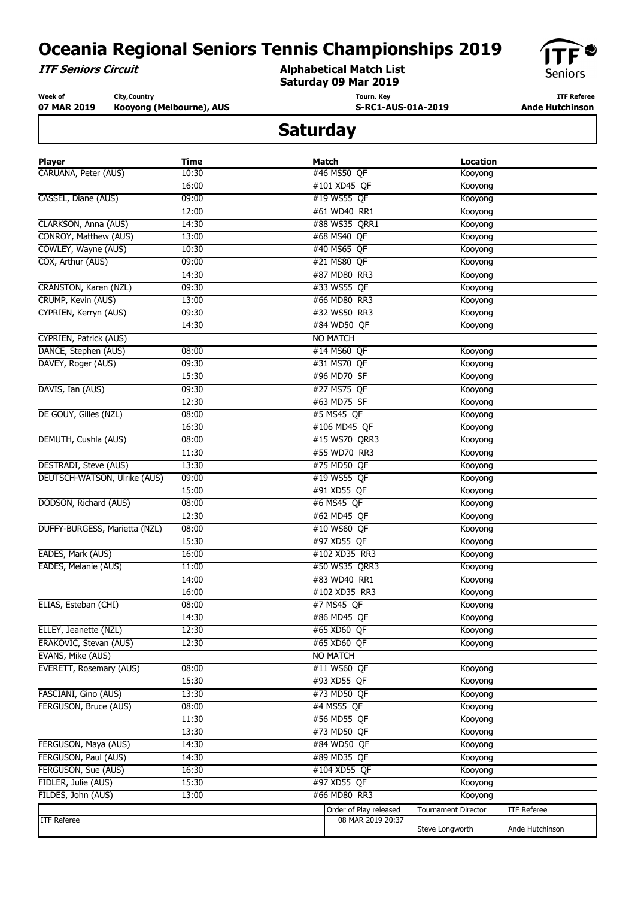**ITF Seniors Circuit**

**Alphabetical Match List Saturday 09 Mar 2019**



**Week of 07 MAR 2019 City,Country Kooyong (Melbourne), AUS** **Tourn. Key S-RC1-AUS-01A-2019**

**ITF Referee Ande Hutchinson** 

| <b>Player</b>                 | <b>Time</b> | Match                  | <b>Location</b>            |                    |
|-------------------------------|-------------|------------------------|----------------------------|--------------------|
| CARUANA, Peter (AUS)          | 10:30       | #46 MS50 QF            | Kooyong                    |                    |
|                               | 16:00       | #101 XD45 QF           | Kooyong                    |                    |
| CASSEL, Diane (AUS)           | 09:00       | #19 WS55 QF            | Kooyong                    |                    |
|                               | 12:00       | #61 WD40 RR1           | Kooyong                    |                    |
| CLARKSON, Anna (AUS)          | 14:30       | #88 WS35 QRR1          | Kooyong                    |                    |
| CONROY, Matthew (AUS)         | 13:00       | #68 MS40 QF            | Kooyong                    |                    |
| COWLEY, Wayne (AUS)           | 10:30       | #40 MS65 QF            | Kooyong                    |                    |
| COX, Arthur (AUS)             | 09:00       | #21 MS80 QF            | Kooyong                    |                    |
|                               | 14:30       | #87 MD80 RR3           | Kooyong                    |                    |
| CRANSTON, Karen (NZL)         | 09:30       | #33 WS55 QF            | Kooyong                    |                    |
| CRUMP, Kevin (AUS)            | 13:00       | #66 MD80 RR3           | Kooyong                    |                    |
| CYPRIEN, Kerryn (AUS)         | 09:30       | #32 WS50 RR3           | Kooyong                    |                    |
|                               | 14:30       | #84 WD50 QF            | Kooyong                    |                    |
| <b>CYPRIEN, Patrick (AUS)</b> |             | <b>NO MATCH</b>        |                            |                    |
| DANCE, Stephen (AUS)          | 08:00       | #14 MS60 QF            | Kooyong                    |                    |
| DAVEY, Roger (AUS)            | 09:30       | #31 MS70 QF            | Kooyong                    |                    |
|                               | 15:30       | #96 MD70 SF            | Kooyong                    |                    |
| DAVIS, Ian (AUS)              | 09:30       | #27 MS75 QF            | Kooyong                    |                    |
|                               | 12:30       | #63 MD75 SF            | Kooyong                    |                    |
| DE GOUY, Gilles (NZL)         | 08:00       | #5 MS45 QF             | Kooyong                    |                    |
|                               | 16:30       | #106 MD45 QF           | Kooyong                    |                    |
| DEMUTH, Cushla (AUS)          | 08:00       | #15 WS70 QRR3          | Kooyong                    |                    |
|                               | 11:30       | #55 WD70 RR3           | Kooyong                    |                    |
| <b>DESTRADI, Steve (AUS)</b>  | 13:30       | #75 MD50 QF            | Kooyong                    |                    |
| DEUTSCH-WATSON, Ulrike (AUS)  | 09:00       | #19 WS55 QF            | Kooyong                    |                    |
|                               | 15:00       | #91 XD55 QF            | Kooyong                    |                    |
| DODSON, Richard (AUS)         | 08:00       | #6 MS45 QF             | Kooyong                    |                    |
|                               | 12:30       | #62 MD45 QF            | Kooyong                    |                    |
| DUFFY-BURGESS, Marietta (NZL) | 08:00       | #10 WS60 QF            | Kooyong                    |                    |
|                               | 15:30       | #97 XD55 QF            | Kooyong                    |                    |
| EADES, Mark (AUS)             | 16:00       | #102 XD35 RR3          | Kooyong                    |                    |
| EADES, Melanie (AUS)          | 11:00       | #50 WS35 QRR3          | Kooyong                    |                    |
|                               | 14:00       | #83 WD40 RR1           | Kooyong                    |                    |
|                               | 16:00       | #102 XD35 RR3          | Kooyong                    |                    |
| ELIAS, Esteban (CHI)          | 08:00       | #7 MS45 QF             | Kooyong                    |                    |
|                               | 14:30       | #86 MD45 QF            | Kooyong                    |                    |
| ELLEY, Jeanette (NZL)         | 12:30       | #65 XD60 QF            | Kooyong                    |                    |
| ERAKOVIC, Stevan (AUS)        | 12:30       | #65 XD60 QF            | Kooyong                    |                    |
| EVANS, Mike (AUS)             |             | <b>NO MATCH</b>        |                            |                    |
| EVERETT, Rosemary (AUS)       | 08:00       | #11 WS60 QF            | Kooyong                    |                    |
|                               | 15:30       | #93 XD55 QF            | Kooyong                    |                    |
| FASCIANI, Gino (AUS)          | 13:30       | #73 MD50 QF            | Kooyong                    |                    |
| FERGUSON, Bruce (AUS)         | 08:00       | #4 MS55 QF             | Kooyong                    |                    |
|                               | 11:30       | #56 MD55 QF            | Kooyong                    |                    |
|                               | 13:30       | #73 MD50 QF            | Kooyong                    |                    |
| FERGUSON, Maya (AUS)          | 14:30       | #84 WD50 QF            | Kooyong                    |                    |
| FERGUSON, Paul (AUS)          | 14:30       | #89 MD35 OF            | Kooyong                    |                    |
| FERGUSON, Sue (AUS)           | 16:30       | #104 XD55 OF           | Kooyong                    |                    |
| FIDLER, Julie (AUS)           | 15:30       | #97 XD55 QF            | Kooyong                    |                    |
| FILDES, John (AUS)            | 13:00       | #66 MD80 RR3           | Kooyong                    |                    |
|                               |             | Order of Play released |                            | <b>ITF Referee</b> |
| <b>ITF Referee</b>            |             | 08 MAR 2019 20:37      | <b>Tournament Director</b> |                    |
|                               |             |                        | Steve Longworth            | Ande Hutchinson    |
|                               |             |                        |                            |                    |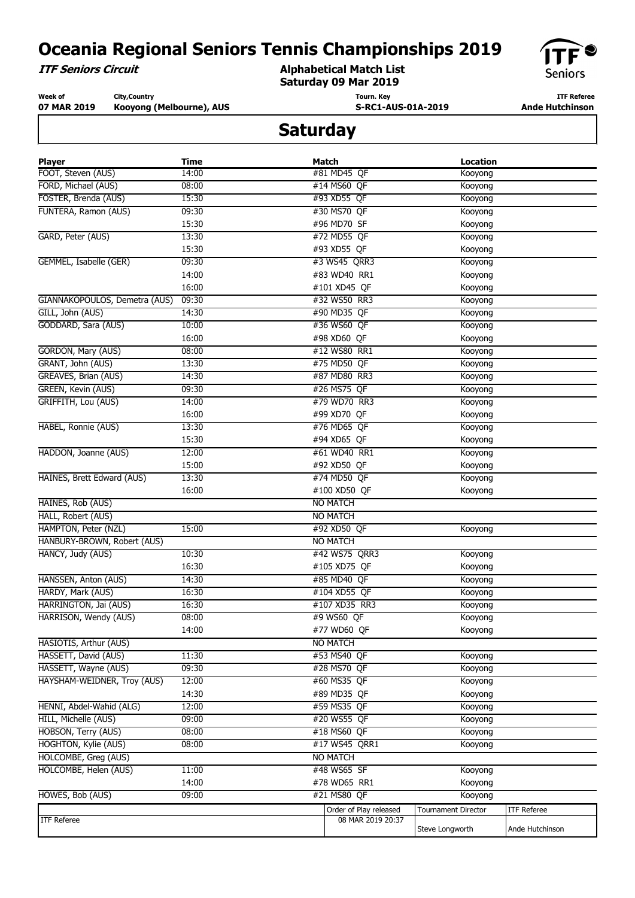**ITF Seniors Circuit**

#### **Alphabetical Match List Saturday 09 Mar 2019**



**Week of 07 MAR 2019 City,Country Kooyong (Melbourne), AUS** **Tourn. Key S-RC1-AUS-01A-2019**

**ITF Referee Ande Hutchinson** 

| <b>Player</b>                 | Time  | Match                  | <b>Location</b>            |                    |
|-------------------------------|-------|------------------------|----------------------------|--------------------|
| FOOT, Steven (AUS)            | 14:00 | #81 MD45 QF            | Kooyong                    |                    |
| FORD, Michael (AUS)           | 08:00 | #14 MS60 QF            | Kooyong                    |                    |
| FOSTER, Brenda (AUS)          | 15:30 | #93 XD55 QF            | Kooyong                    |                    |
| FUNTERA, Ramon (AUS)          | 09:30 | #30 MS70 QF            | Kooyong                    |                    |
|                               | 15:30 | #96 MD70 SF            | Kooyong                    |                    |
| GARD, Peter (AUS)             | 13:30 | #72 MD55 QF            | Kooyong                    |                    |
|                               | 15:30 | #93 XD55 QF            | Kooyong                    |                    |
| GEMMEL, Isabelle (GER)        | 09:30 | #3 WS45 QRR3           | Kooyong                    |                    |
|                               | 14:00 | #83 WD40 RR1           | Kooyong                    |                    |
|                               | 16:00 | #101 XD45 QF           | Kooyong                    |                    |
| GIANNAKOPOULOS, Demetra (AUS) | 09:30 | #32 WS50 RR3           | Kooyong                    |                    |
| GILL, John (AUS)              | 14:30 | #90 MD35 QF            | Kooyong                    |                    |
| GODDARD, Sara (AUS)           | 10:00 | #36 WS60 QF            | Kooyong                    |                    |
|                               | 16:00 | #98 XD60 QF            | Kooyong                    |                    |
| GORDON, Mary (AUS)            | 08:00 | #12 WS80 RR1           | Kooyong                    |                    |
| GRANT, John (AUS)             | 13:30 | #75 MD50 QF            | Kooyong                    |                    |
| GREAVES, Brian (AUS)          | 14:30 | #87 MD80 RR3           | Kooyong                    |                    |
| GREEN, Kevin (AUS)            | 09:30 | #26 MS75 QF            | Kooyong                    |                    |
| GRIFFITH, Lou (AUS)           | 14:00 | #79 WD70 RR3           | Kooyong                    |                    |
|                               | 16:00 | #99 XD70 QF            | Kooyong                    |                    |
| HABEL, Ronnie (AUS)           | 13:30 | #76 MD65 QF            | Kooyong                    |                    |
|                               | 15:30 | #94 XD65 QF            | Kooyong                    |                    |
| HADDON, Joanne (AUS)          | 12:00 | #61 WD40 RR1           | Kooyong                    |                    |
|                               | 15:00 | #92 XD50 QF            | Kooyong                    |                    |
| HAINES, Brett Edward (AUS)    | 13:30 | #74 MD50 QF            | Kooyong                    |                    |
|                               | 16:00 | #100 XD50 QF           | Kooyong                    |                    |
| HAINES, Rob (AUS)             |       | <b>NO MATCH</b>        |                            |                    |
| HALL, Robert (AUS)            |       | <b>NO MATCH</b>        |                            |                    |
| HAMPTON, Peter (NZL)          | 15:00 | #92 XD50 QF            | Kooyong                    |                    |
| HANBURY-BROWN, Robert (AUS)   |       | <b>NO MATCH</b>        |                            |                    |
| HANCY, Judy (AUS)             | 10:30 | #42 WS75 QRR3          | Kooyong                    |                    |
|                               | 16:30 | #105 XD75 QF           | Kooyong                    |                    |
| HANSSEN, Anton (AUS)          | 14:30 | #85 MD40 QF            | Kooyong                    |                    |
| HARDY, Mark (AUS)             | 16:30 | #104 XD55 QF           | Kooyong                    |                    |
| HARRINGTON, Jai (AUS)         | 16:30 | #107 XD35 RR3          | Kooyong                    |                    |
| HARRISON, Wendy (AUS)         | 08:00 | #9 WS60 QF             | Kooyong                    |                    |
|                               | 14:00 | #77 WD60 QF            | Kooyong                    |                    |
| HASIOTIS, Arthur (AUS)        |       | <b>NO MATCH</b>        |                            |                    |
| HASSETT, David (AUS)          | 11:30 | #53 MS40 QF            | Kooyong                    |                    |
| HASSETT, Wayne (AUS)          | 09:30 | #28 MS70 QF            | Kooyong                    |                    |
| HAYSHAM-WEIDNER, Troy (AUS)   | 12:00 | #60 MS35 QF            | Kooyong                    |                    |
|                               | 14:30 | #89 MD35 QF            | Kooyong                    |                    |
| HENNI, Abdel-Wahid (ALG)      | 12:00 | #59 MS35 QF            | Kooyong                    |                    |
| <b>HILL, Michelle (AUS)</b>   | 09:00 | #20 WS55 QF            | Kooyong                    |                    |
| HOBSON, Terry (AUS)           | 08:00 | #18 MS60 QF            | Kooyong                    |                    |
| <b>HOGHTON, Kylie (AUS)</b>   | 08:00 | #17 WS45 QRR1          | Kooyong                    |                    |
| HOLCOMBE, Greg (AUS)          |       | <b>NO MATCH</b>        |                            |                    |
| HOLCOMBE, Helen (AUS)         | 11:00 | #48 WS65 SF            | Kooyong                    |                    |
|                               | 14:00 | #78 WD65 RR1           | Kooyong                    |                    |
| HOWES, Bob (AUS)              | 09:00 | #21 MS80 QF            | Kooyong                    |                    |
|                               |       | Order of Play released | <b>Tournament Director</b> | <b>ITF Referee</b> |
| <b>ITF Referee</b>            |       | 08 MAR 2019 20:37      |                            |                    |
|                               |       |                        | Steve Longworth            | Ande Hutchinson    |
|                               |       |                        |                            |                    |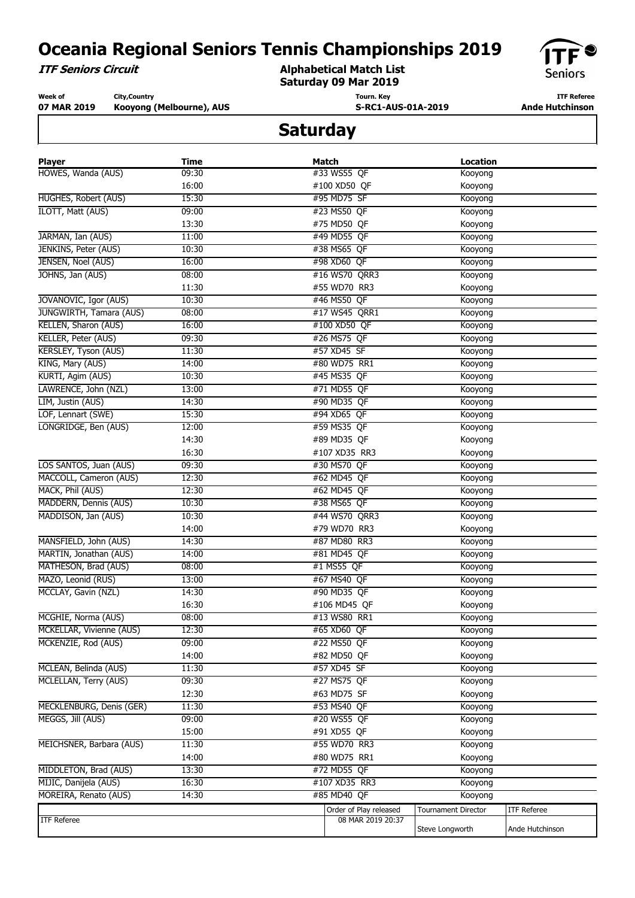**ITF Seniors Circuit**

**Alphabetical Match List Saturday 09 Mar 2019**



**Week of 07 MAR 2019 City,Country Kooyong (Melbourne), AUS** **Tourn. Key S-RC1-AUS-01A-2019**

**ITF Referee Ande Hutchinson** 

| <b>Player</b>               | <b>Time</b> | <b>Match</b>                 | <b>Location</b>            |                    |
|-----------------------------|-------------|------------------------------|----------------------------|--------------------|
| HOWES, Wanda (AUS)          | 09:30       | #33 WS55 QF                  | Kooyong                    |                    |
|                             | 16:00       | #100 XD50 QF                 | Kooyong                    |                    |
| <b>HUGHES, Robert (AUS)</b> | 15:30       | #95 MD75 SF                  | Kooyong                    |                    |
| ILOTT, Matt (AUS)           | 09:00       | #23 MS50 QF                  | Kooyong                    |                    |
|                             | 13:30       | #75 MD50 QF                  | Kooyong                    |                    |
| JARMAN, Ian (AUS)           | 11:00       | #49 MD55 QF                  | Kooyong                    |                    |
| JENKINS, Peter (AUS)        | 10:30       | #38 MS65 QF                  | Kooyong                    |                    |
| JENSEN, Noel (AUS)          | 16:00       | #98 XD60 QF                  | Kooyong                    |                    |
| JOHNS, Jan (AUS)            | 08:00       | #16 WS70 QRR3                | Kooyong                    |                    |
|                             | 11:30       | #55 WD70 RR3                 | Kooyong                    |                    |
| JOVANOVIC, Igor (AUS)       | 10:30       | #46 MS50 QF                  | Kooyong                    |                    |
| JUNGWIRTH, Tamara (AUS)     | 08:00       | #17 WS45 QRR1                | Kooyong                    |                    |
| KELLEN, Sharon (AUS)        | 16:00       | #100 XD50 QF                 | Kooyong                    |                    |
| KELLER, Peter (AUS)         | 09:30       | #26 MS75 QF                  | Kooyong                    |                    |
| KERSLEY, Tyson (AUS)        | 11:30       | #57 XD45 SF                  | Kooyong                    |                    |
| KING, Mary (AUS)            | 14:00       | #80 WD75 RR1                 | Kooyong                    |                    |
| KURTI, Agim (AUS)           | 10:30       | #45 MS35 QF                  | Kooyong                    |                    |
| LAWRENCE, John (NZL)        | 13:00       | #71 MD55 QF                  | Kooyong                    |                    |
| LIM, Justin (AUS)           | 14:30       | #90 MD35 QF                  | Kooyong                    |                    |
| LOF, Lennart (SWE)          | 15:30       | #94 XD65 QF                  | Kooyong                    |                    |
| LONGRIDGE, Ben (AUS)        | 12:00       | #59 MS35 QF                  | Kooyong                    |                    |
|                             | 14:30       | #89 MD35 QF                  | Kooyong                    |                    |
|                             | 16:30       | #107 XD35 RR3                | Kooyong                    |                    |
| LOS SANTOS, Juan (AUS)      | 09:30       | #30 MS70 QF                  | Kooyong                    |                    |
| MACCOLL, Cameron (AUS)      | 12:30       | #62 MD45 OF                  | Kooyong                    |                    |
| MACK, Phil (AUS)            | 12:30       | #62 MD45 QF                  | Kooyong                    |                    |
| MADDERN, Dennis (AUS)       | 10:30       | #38 MS65 QF                  | Kooyong                    |                    |
| MADDISON, Jan (AUS)         | 10:30       | #44 WS70 QRR3                | Kooyong                    |                    |
|                             | 14:00       | #79 WD70 RR3                 | Kooyong                    |                    |
| MANSFIELD, John (AUS)       | 14:30       | #87 MD80 RR3                 | Kooyong                    |                    |
| MARTIN, Jonathan (AUS)      | 14:00       | #81 MD45 QF                  | Kooyong                    |                    |
| MATHESON, Brad (AUS)        | 08:00       | #1 MS55 QF                   | Kooyong                    |                    |
| MAZO, Leonid (RUS)          | 13:00       | #67 MS40 QF                  | Kooyong                    |                    |
| MCCLAY, Gavin (NZL)         |             | #90 MD35 QF                  |                            |                    |
|                             | 14:30       |                              | Kooyong                    |                    |
| MCGHIE, Norma (AUS)         | 16:30       | #106 MD45 QF<br>#13 WS80 RR1 | Kooyong                    |                    |
| MCKELLAR, Vivienne (AUS)    | 08:00       |                              | Kooyong                    |                    |
|                             | 12:30       | #65 XD60 QF                  | Kooyong                    |                    |
| MCKENZIE, Rod (AUS)         | 09:00       | #22 MS50 QF                  | Kooyong                    |                    |
|                             | 14:00       | #82 MD50 QF                  | Kooyong                    |                    |
| MCLEAN, Belinda (AUS)       | 11:30       | #57 XD45 SF                  | Kooyong                    |                    |
| MCLELLAN, Terry (AUS)       | 09:30       | #27 MS75 QF                  | Kooyong                    |                    |
|                             | 12:30       | #63 MD75 SF                  | Kooyong                    |                    |
| MECKLENBURG, Denis (GER)    | 11:30       | #53 MS40 QF                  | Kooyong                    |                    |
| MEGGS, Jill (AUS)           | 09:00       | #20 WS55 QF                  | Kooyong                    |                    |
|                             | 15:00       | #91 XD55 QF                  | Kooyong                    |                    |
| MEICHSNER, Barbara (AUS)    | 11:30       | #55 WD70 RR3                 | Kooyong                    |                    |
|                             | 14:00       | #80 WD75 RR1                 | Kooyong                    |                    |
| MIDDLETON, Brad (AUS)       | 13:30       | #72 MD55 QF                  | Kooyong                    |                    |
| MIJIC, Danijela (AUS)       | 16:30       | #107 XD35 RR3                | Kooyong                    |                    |
| MOREIRA, Renato (AUS)       | 14:30       | #85 MD40 QF                  | Kooyong                    |                    |
|                             |             | Order of Play released       | <b>Tournament Director</b> | <b>ITF Referee</b> |
| <b>ITF Referee</b>          |             | 08 MAR 2019 20:37            | Steve Longworth            | Ande Hutchinson    |
|                             |             |                              |                            |                    |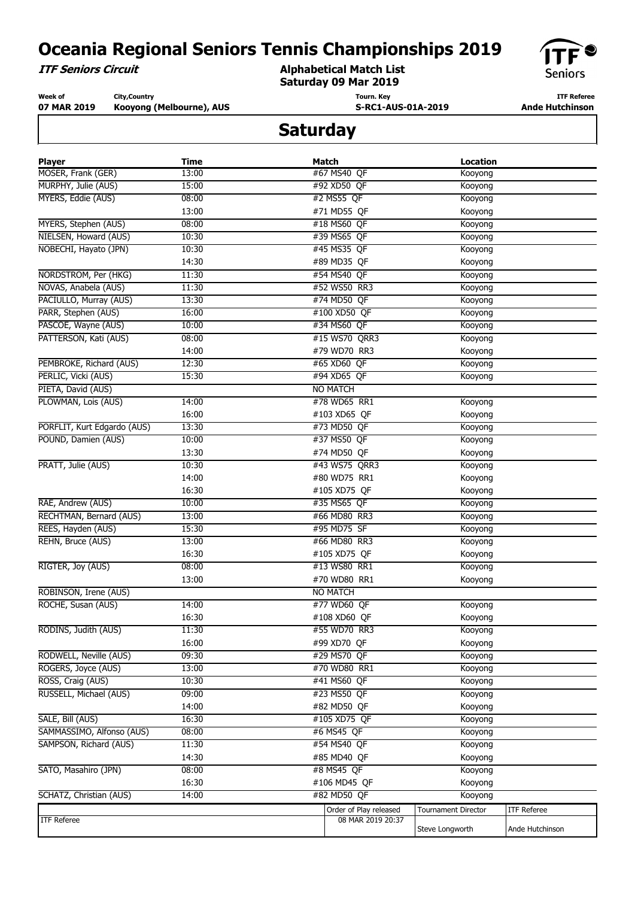**ITF Seniors Circuit**

**Alphabetical Match List Saturday 09 Mar 2019**



**Week of 07 MAR 2019 City,Country Kooyong (Melbourne), AUS** **Tourn. Key S-RC1-AUS-01A-2019**

**ITF Referee Ande Hutchinson** 

| <b>Player</b>               | <b>Time</b> | Match                                       | <b>Location</b>            |                    |
|-----------------------------|-------------|---------------------------------------------|----------------------------|--------------------|
| MOSER, Frank (GER)          | 13:00       | #67 MS40 QF                                 | Kooyong                    |                    |
| MURPHY, Julie (AUS)         | 15:00       | #92 XD50 QF                                 | Kooyong                    |                    |
| MYERS, Eddie (AUS)          | 08:00       | #2 MS55 QF                                  | Kooyong                    |                    |
|                             | 13:00       | #71 MD55 QF                                 | Kooyong                    |                    |
| MYERS, Stephen (AUS)        | 08:00       | #18 MS60 QF                                 | Kooyong                    |                    |
| NIELSEN, Howard (AUS)       | 10:30       | #39 MS65 QF                                 | Kooyong                    |                    |
| NOBECHI, Hayato (JPN)       | 10:30       | #45 MS35 QF                                 | Kooyong                    |                    |
|                             | 14:30       | #89 MD35 QF                                 | Kooyong                    |                    |
| NORDSTROM, Per (HKG)        | 11:30       | #54 MS40 QF                                 | Kooyong                    |                    |
| NOVAS, Anabela (AUS)        | 11:30       | #52 WS50 RR3                                | Kooyong                    |                    |
| PACIULLO, Murray (AUS)      | 13:30       | #74 MD50 QF                                 | Kooyong                    |                    |
| PARR, Stephen (AUS)         | 16:00       | #100 XD50 QF                                | Kooyong                    |                    |
| PASCOE, Wayne (AUS)         | 10:00       | #34 MS60 QF                                 | Kooyong                    |                    |
| PATTERSON, Kati (AUS)       | 08:00       | #15 WS70 QRR3                               | Kooyong                    |                    |
|                             | 14:00       | #79 WD70 RR3                                | Kooyong                    |                    |
| PEMBROKE, Richard (AUS)     | 12:30       | #65 XD60 QF                                 | Kooyong                    |                    |
| PERLIC, Vicki (AUS)         | 15:30       | #94 XD65 QF                                 | Kooyong                    |                    |
| PIETA, David (AUS)          |             | <b>NO MATCH</b>                             |                            |                    |
| PLOWMAN, Lois (AUS)         | 14:00       | #78 WD65 RR1                                | Kooyong                    |                    |
|                             | 16:00       | #103 XD65 QF                                | Kooyong                    |                    |
| PORFLIT, Kurt Edgardo (AUS) | 13:30       | #73 MD50 QF                                 | Kooyong                    |                    |
| POUND, Damien (AUS)         | 10:00       | #37 MS50 QF                                 | Kooyong                    |                    |
|                             | 13:30       | #74 MD50 QF                                 | Kooyong                    |                    |
| PRATT, Julie (AUS)          | 10:30       | #43 WS75 QRR3                               | Kooyong                    |                    |
|                             | 14:00       | #80 WD75 RR1                                | Kooyong                    |                    |
|                             | 16:30       | #105 XD75 QF                                | Kooyong                    |                    |
| RAE, Andrew (AUS)           | 10:00       | #35 MS65 QF                                 | Kooyong                    |                    |
| RECHTMAN, Bernard (AUS)     | 13:00       | #66 MD80 RR3                                | Kooyong                    |                    |
| REES, Hayden (AUS)          | 15:30       | #95 MD75 SF                                 | Kooyong                    |                    |
| REHN, Bruce (AUS)           | 13:00       | #66 MD80 RR3                                | Kooyong                    |                    |
|                             | 16:30       | #105 XD75 QF                                | Kooyong                    |                    |
| RIGTER, Joy (AUS)           | 08:00       | #13 WS80 RR1                                | Kooyong                    |                    |
|                             | 13:00       | #70 WD80 RR1                                | Kooyong                    |                    |
| ROBINSON, Irene (AUS)       |             | <b>NO MATCH</b>                             |                            |                    |
| ROCHE, Susan (AUS)          | 14:00       | #77 WD60 QF                                 | Kooyong                    |                    |
|                             | 16:30       | #108 XD60 QF                                | Kooyong                    |                    |
| RODINS, Judith (AUS)        | 11:30       | #55 WD70 RR3                                | Kooyong                    |                    |
|                             | 16:00       | #99 XD70 QF                                 | Kooyong                    |                    |
| RODWELL, Neville (AUS)      | 09:30       | #29 MS70 QF                                 | Kooyong                    |                    |
| ROGERS, Joyce (AUS)         | 13:00       | #70 WD80 RR1                                | Kooyong                    |                    |
| ROSS, Craig (AUS)           | 10:30       | #41 MS60 QF                                 | Kooyong                    |                    |
| RUSSELL, Michael (AUS)      | 09:00       | #23 MS50 QF                                 | Kooyong                    |                    |
|                             | 14:00       | #82 MD50 QF                                 | Kooyong                    |                    |
| SALE, Bill (AUS)            | 16:30       | #105 XD75 QF                                | Kooyong                    |                    |
| SAMMASSIMO, Alfonso (AUS)   | 08:00       | #6 MS45 QF                                  | Kooyong                    |                    |
| SAMPSON, Richard (AUS)      | 11:30       | #54 MS40 QF                                 | Kooyong                    |                    |
|                             | 14:30       | #85 MD40 QF                                 | Kooyong                    |                    |
| SATO, Masahiro (JPN)        | 08:00       | #8 MS45 QF                                  | Kooyong                    |                    |
|                             | 16:30       | #106 MD45 QF                                | Kooyong                    |                    |
| SCHATZ, Christian (AUS)     | 14:00       | #82 MD50 OF                                 | Kooyong                    |                    |
|                             |             |                                             | <b>Tournament Director</b> | <b>ITF Referee</b> |
| <b>ITF Referee</b>          |             | Order of Play released<br>08 MAR 2019 20:37 |                            |                    |
|                             |             |                                             | Steve Longworth            | Ande Hutchinson    |
|                             |             |                                             |                            |                    |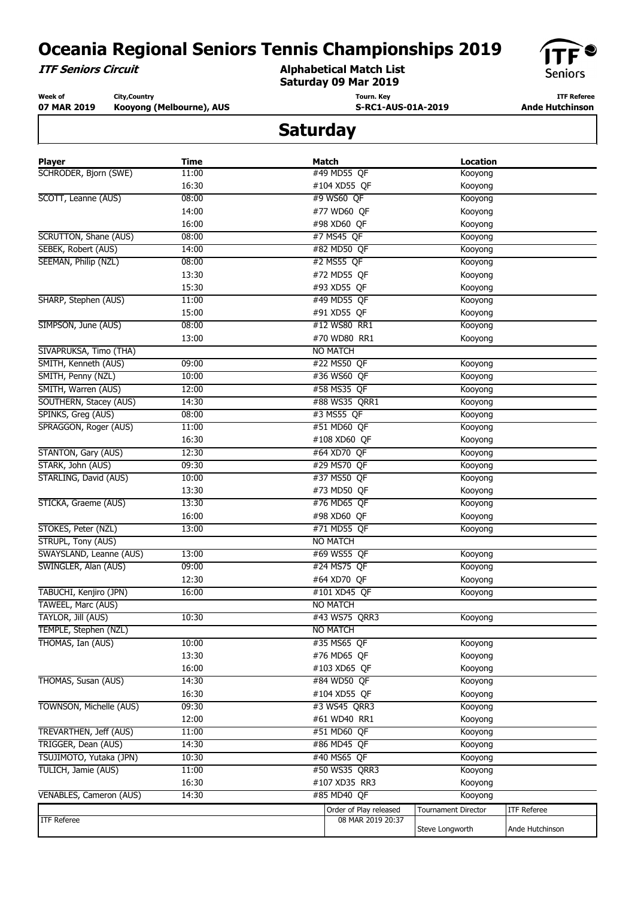**ITF Seniors Circuit**

**Alphabetical Match List Saturday 09 Mar 2019**



**Week of 07 MAR 2019 City,Country Kooyong (Melbourne), AUS** **Tourn. Key S-RC1-AUS-01A-2019**

**ITF Referee Ande Hutchinson** 

| <b>Player</b>                 | <b>Time</b>    | Match                                       | <b>Location</b>            |                    |
|-------------------------------|----------------|---------------------------------------------|----------------------------|--------------------|
| SCHRODER, Bjorn (SWE)         | 11:00          | #49 MD55 QF                                 | Kooyong                    |                    |
|                               | 16:30          | #104 XD55 QF                                | Kooyong                    |                    |
| SCOTT, Leanne (AUS)           | 08:00          | #9 WS60 QF                                  | Kooyong                    |                    |
|                               | 14:00          | #77 WD60 QF                                 | Kooyong                    |                    |
|                               | 16:00          | #98 XD60 OF                                 | Kooyong                    |                    |
| SCRUTTON, Shane (AUS)         | 08:00          | #7 MS45 QF                                  | Kooyong                    |                    |
| SEBEK, Robert (AUS)           | 14:00          | #82 MD50 QF                                 | Kooyong                    |                    |
| SEEMAN, Philip (NZL)          | 08:00          | #2 MS55 QF                                  | Kooyong                    |                    |
|                               | 13:30          | #72 MD55 QF                                 | Kooyong                    |                    |
|                               | 15:30          | #93 XD55 QF                                 | Kooyong                    |                    |
| SHARP, Stephen (AUS)          | 11:00          | #49 MD55 QF                                 | Kooyong                    |                    |
|                               | 15:00          | #91 XD55 QF                                 | Kooyong                    |                    |
| SIMPSON, June (AUS)           | 08:00          | #12 WS80 RR1                                | Kooyong                    |                    |
|                               | 13:00          | #70 WD80 RR1                                | Kooyong                    |                    |
| SIVAPRUKSA, Timo (THA)        |                | <b>NO MATCH</b>                             |                            |                    |
| SMITH, Kenneth (AUS)          | 09:00          | #22 MS50 QF                                 | Kooyong                    |                    |
| SMITH, Penny (NZL)            | 10:00          | #36 WS60 QF                                 | Kooyong                    |                    |
| SMITH, Warren (AUS)           | 12:00          | #58 MS35 OF                                 | Kooyong                    |                    |
| SOUTHERN, Stacey (AUS)        | 14:30          | #88 WS35 QRR1                               | Kooyong                    |                    |
| SPINKS, Greg (AUS)            | 08:00          | #3 MS55 QF                                  | Kooyong                    |                    |
| SPRAGGON, Roger (AUS)         | 11:00          | #51 MD60 QF                                 | Kooyong                    |                    |
|                               | 16:30          | #108 XD60 QF                                | Kooyong                    |                    |
| <b>STANTON, Gary (AUS)</b>    | 12:30          | #64 XD70 QF                                 | Kooyong                    |                    |
| STARK, John (AUS)             | 09:30          | #29 MS70 QF                                 | Kooyong                    |                    |
| STARLING, David (AUS)         | 10:00          | #37 MS50 QF                                 | Kooyong                    |                    |
|                               | 13:30          | #73 MD50 QF                                 | Kooyong                    |                    |
| STICKA, Graeme (AUS)          | 13:30          | #76 MD65 QF                                 | Kooyong                    |                    |
|                               | 16:00          | #98 XD60 QF                                 | Kooyong                    |                    |
| STOKES, Peter (NZL)           | 13:00          | #71 MD55 QF                                 | Kooyong                    |                    |
| <b>STRUPL, Tony (AUS)</b>     |                | <b>NO MATCH</b>                             |                            |                    |
| SWAYSLAND, Leanne (AUS)       | 13:00          | #69 WS55 QF                                 | Kooyong                    |                    |
| SWINGLER, Alan (AUS)          | 09:00          | #24 MS75 QF                                 | Kooyong                    |                    |
|                               | 12:30          | #64 XD70 OF                                 | Kooyong                    |                    |
| TABUCHI, Kenjiro (JPN)        | 16:00          | #101 XD45 QF                                | Kooyong                    |                    |
| TAWEEL, Marc (AUS)            |                | <b>NO MATCH</b>                             |                            |                    |
| TAYLOR, Jill (AUS)            | 10:30          | #43 WS75 QRR3                               | Kooyong                    |                    |
| TEMPLE, Stephen (NZL)         |                | NO MATCH                                    |                            |                    |
| THOMAS, Ian (AUS)             | 10:00          | #35 MS65 QF                                 | Kooyong                    |                    |
|                               | 13:30          | #76 MD65 QF                                 | Kooyong                    |                    |
|                               | 16:00          | #103 XD65 QF                                | Kooyong                    |                    |
| THOMAS, Susan (AUS)           | 14:30          | #84 WD50 QF                                 | Kooyong                    |                    |
|                               | 16:30          | #104 XD55 QF                                | Kooyong                    |                    |
| TOWNSON, Michelle (AUS)       | 09:30          | #3 WS45 QRR3                                | Kooyong                    |                    |
|                               | 12:00          | #61 WD40 RR1                                | Kooyong                    |                    |
| <b>TREVARTHEN, Jeff (AUS)</b> | 11:00          | #51 MD60 QF                                 | Kooyong                    |                    |
| TRIGGER, Dean (AUS)           | 14:30          | #86 MD45 OF                                 | Kooyong                    |                    |
| TSUJIMOTO, Yutaka (JPN)       | 10:30          | #40 MS65 QF                                 | Kooyong                    |                    |
| TULICH, Jamie (AUS)           |                |                                             |                            |                    |
|                               | 11:00<br>16:30 | #50 WS35 QRR3<br>#107 XD35 RR3              | Kooyong<br>Kooyong         |                    |
| VENABLES, Cameron (AUS)       | 14:30          | #85 MD40 OF                                 | Kooyong                    |                    |
|                               |                |                                             |                            |                    |
| <b>ITF Referee</b>            |                | Order of Play released<br>08 MAR 2019 20:37 | <b>Tournament Director</b> | <b>ITF Referee</b> |
|                               |                |                                             | Steve Longworth            | Ande Hutchinson    |
|                               |                |                                             |                            |                    |